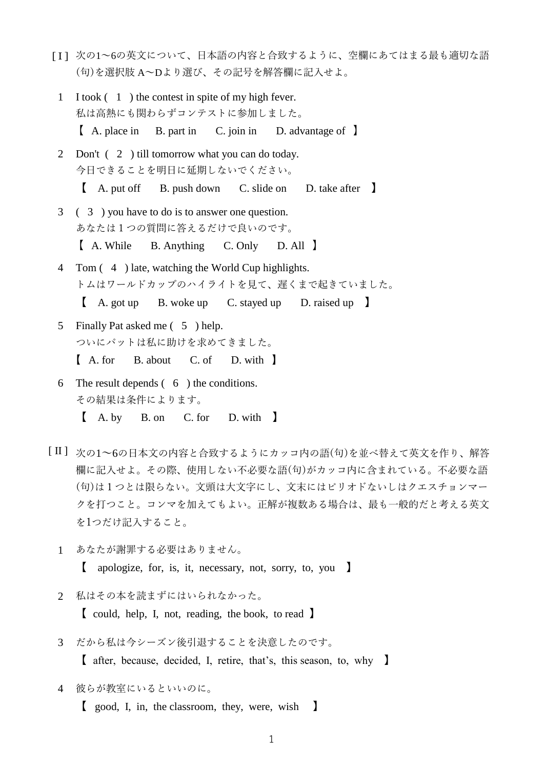- [ I ] 次の1~6の英文について、日本語の内容と合致するように、空欄にあてはまる最も適切な語 (句)を選択肢 A~Dより選び、その記号を解答欄に記入せよ。
- 1 I took ( 1 ) the contest in spite of my high fever. 私は高熱にも関わらずコンテストに参加しました。 【 A. place in B. part in C. join in D. advantage of 】
- 2 Don't ( 2 ) till tomorrow what you can do today. 今日できることを明日に延期しないでください。 【 A. put off B. push down C. slide on D. take after 】
- 3 ( 3 ) you have to do is to answer one question. あなたは1つの質問に答えるだけで良いのです。 【 A. While B. Anything C. Only D. All 】
- 4 Tom ( 4 ) late, watching the World Cup highlights. トムはワールドカップのハイライトを見て、遅くまで起きていました。
	- 【 A. got up B. woke up C. stayed up D. raised up 】
- 5 Finally Pat asked me ( 5 ) help. ついにパットは私に助けを求めてきました。 【 A. for B. about C. of D. with 】
- 6 The result depends ( 6 ) the conditions. その結果は条件によります。
	- 【 A. by B. on C. for D. with 】
- [ II ] 次の1~6の日本文の内容と合致するようにカッコ内の語(句)を並べ替えて英文を作り、解答 欄に記入せよ。その際、使用しない不必要な語(句)がカッコ内に含まれている。不必要な語 (句)は1つとは限らない。文頭は大文字にし、文末にはピリオドないしはクエスチョンマー クを打つこと。コンマを加えてもよい。正解が複数ある場合は、最も一般的だと考える英文 を1つだけ記入すること。
	- 1 あなたが謝罪する必要はありません。 【 apologize, for, is, it, necessary, not, sorry, to, you 】
	- 2 私はその本を読まずにはいられなかった。

【 could, help, I, not, reading, the book, to read 】

3 だから私は今シーズン後引退することを決意したのです。

【 after, because, decided, I, retire, that's, this season, to, why 】

4 彼らが教室にいるといいのに。

【 good, I, in, the classroom, they, were, wish 】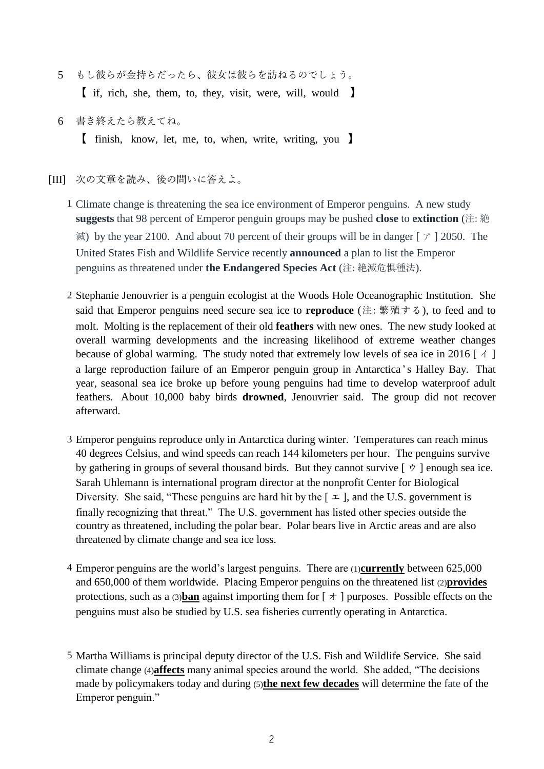- 5 もし彼らが金持ちだったら、彼女は彼らを訪ねるのでしょう。 【 if, rich, she, them, to, they, visit, were, will, would 】
- 6 書き終えたら教えてね。 【 finish, know, let, me, to, when, write, writing, you 】
- [III] 次の文章を読み、後の問いに答えよ。
	- 1 Climate change is threatening the sea ice environment of Emperor penguins. A new study **suggests** that 98 percent of Emperor penguin groups may be pushed **close** to **extinction** (注: 絶 滅) by the year 2100. And about 70 percent of their groups will be in danger [ $\tau$ ] 2050. The United States Fish and Wildlife Service recently **announced** a plan to list the Emperor penguins as threatened under **the Endangered Species Act** (注: 絶滅危惧種法).
	- 2 Stephanie Jenouvrier is a penguin ecologist at the Woods Hole Oceanographic Institution. She said that Emperor penguins need secure sea ice to **reproduce** (注: 繁殖する), to feed and to molt. Molting is the replacement of their old **feathers** with new ones. The new study looked at overall warming developments and the increasing likelihood of extreme weather changes because of global warming. The study noted that extremely low levels of sea ice in 2016 [ $\land$ ] a large reproduction failure of an Emperor penguin group in Antarctica 's Halley Bay. That year, seasonal sea ice broke up before young penguins had time to develop waterproof adult feathers. About 10,000 baby birds **drowned**, Jenouvrier said. The group did not recover afterward.
	- 3 Emperor penguins reproduce only in Antarctica during winter. Temperatures can reach minus 40 degrees Celsius, and wind speeds can reach 144 kilometers per hour. The penguins survive by gathering in groups of several thousand birds. But they cannot survive  $[\forall]$  enough sea ice. Sarah Uhlemann is international program director at the nonprofit Center for Biological Diversity. She said, "These penguins are hard hit by the  $\lceil \pm \rceil$ , and the U.S. government is finally recognizing that threat." The U.S. government has listed other species outside the country as threatened, including the polar bear. Polar bears live in Arctic areas and are also threatened by climate change and sea ice loss.
	- 4 Emperor penguins are the world's largest penguins. There are (1)**currently** between 625,000 and 650,000 of them worldwide. Placing Emperor penguins on the threatened list (2)**provides** protections, such as a (3)**ban** against importing them for  $\lceil \pi \rceil$  purposes. Possible effects on the penguins must also be studied by U.S. sea fisheries currently operating in Antarctica.
	- 5 Martha Williams is principal deputy director of the U.S. Fish and Wildlife Service. She said climate change (4)**affects** many animal species around the world. She added, "The decisions made by policymakers today and during (5)**the next few decades** will determine the fate of the Emperor penguin."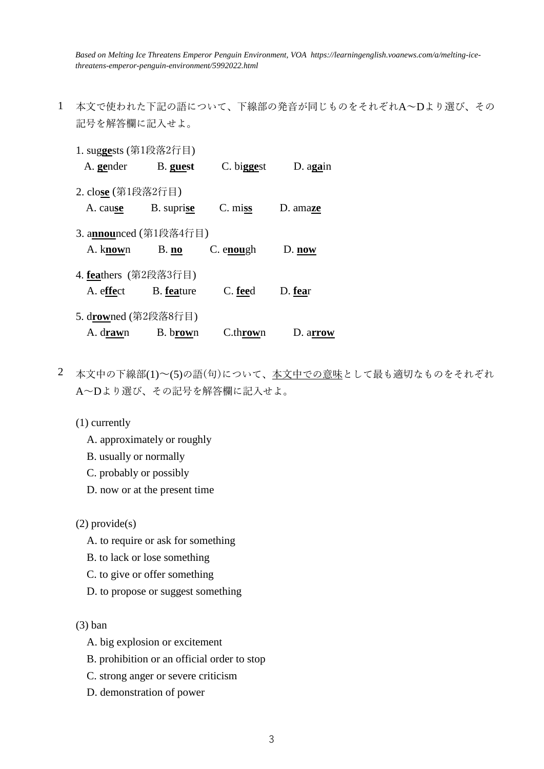*Based on Melting Ice Threatens Emperor Penguin Environment, VOA https://learningenglish.voanews.com/a/melting-icethreatens-emperor-penguin-environment/5992022.html*

- 1 本文で使われた下記の語について、下線部の発音が同じものをそれぞれA~Dより選び、その 記号を解答欄に記入せよ。
	- 1. sug**ge**sts (第1段落2行目) A. **ge**nderB. **guest** C. bi**gge**st D. a**ga**in 2. clo**se** (第1段落2行目) A. cau**se** B. supri**se** C. mi**ss** D. ama**ze** 3. a**nnou**nced (第1段落4行目) A. k**now**n B. **no** C. e**nou**gh D. **now** 4. **fea**thers (第2段落3行目) A. e**ffe**ct B. **fea**ture C. **fee**d D. **fea**r 5. d**row**ned (第2段落8行目) A. d**raw**n B. b**row**n C.th**row**n D. a**rrow**
- 2 本文中の下線部(1)~(5)の語(句)について、本文中での意味として最も適切なものをそれぞれ A~Dより選び、その記号を解答欄に記入せよ。
	- (1) currently
		- A. approximately or roughly
		- B. usually or normally
		- C. probably or possibly
		- D. now or at the present time

(2) provide(s)

- A. to require or ask for something
- B. to lack or lose something
- C. to give or offer something
- D. to propose or suggest something

(3) ban

- A. big explosion or excitement
- B. prohibition or an official order to stop
- C. strong anger or severe criticism
- D. demonstration of power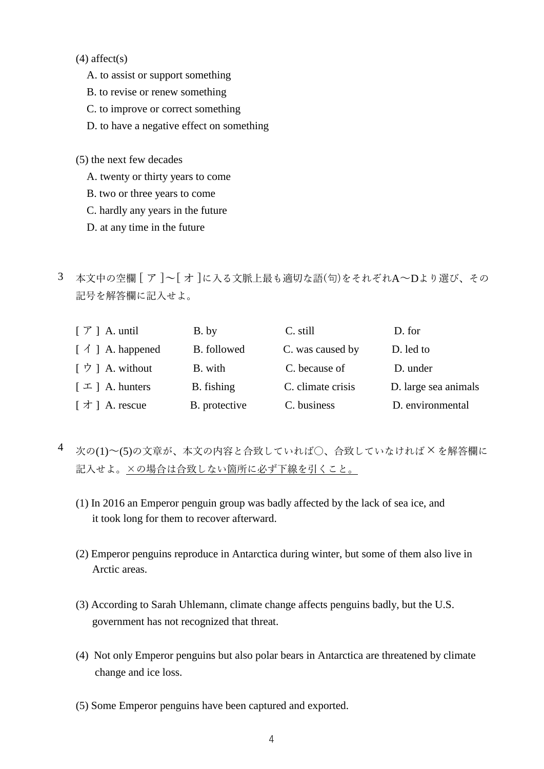$(4)$  affect $(s)$ 

- A. to assist or support something
- B. to revise or renew something
- C. to improve or correct something
- D. to have a negative effect on something
- (5) the next few decades
	- A. twenty or thirty years to come
	- B. two or three years to come
	- C. hardly any years in the future
	- D. at any time in the future
- 3 本文中の空欄 [ ア ]~[ オ ]に入る文脈上最も適切な語(句)をそれぞれA~Dより選び、その 記号を解答欄に記入せよ。

| $\lceil \mathcal{T} \rceil$ A. until | B. by         | C. still          | D. for               |
|--------------------------------------|---------------|-------------------|----------------------|
| $\lceil \bigwedge$   A. happened     | B. followed   | C. was caused by  | D. led to            |
| [ウ] A. without                       | B. with       | C. because of     | D. under             |
| $\lceil \pm \rceil$ A. hunters       | B. fishing    | C. climate crisis | D. large sea animals |
| $\lceil \nmid \tau \rceil$ A. rescue | B. protective | C. business       | D. environmental     |

- 4 次の(1)~(5)の文章が、本文の内容と合致していれば〇、合致していなければ×を解答欄に 記入せよ。×の場合は合致しない箇所に必ず下線を引くこと。
	- (1) In 2016 an Emperor penguin group was badly affected by the lack of sea ice, and it took long for them to recover afterward.
	- (2) Emperor penguins reproduce in Antarctica during winter, but some of them also live in Arctic areas.
	- (3) According to Sarah Uhlemann, climate change affects penguins badly, but the U.S. government has not recognized that threat.
	- (4) Not only Emperor penguins but also polar bears in Antarctica are threatened by climate change and ice loss.
	- (5) Some Emperor penguins have been captured and exported.